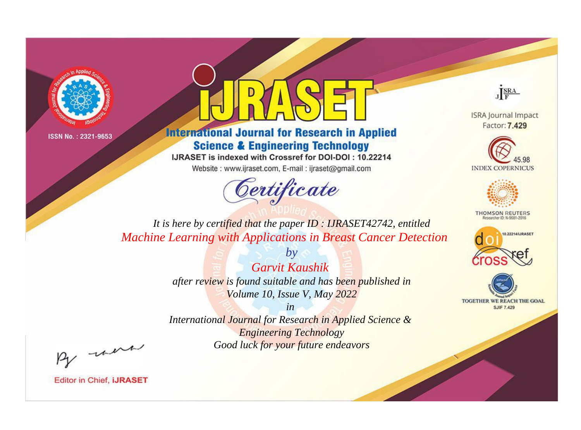



**International Journal for Research in Applied Science & Engineering Technology** 

IJRASET is indexed with Crossref for DOI-DOI: 10.22214

Website: www.ijraset.com, E-mail: ijraset@gmail.com



JERA

**ISRA Journal Impact** Factor: 7.429





**THOMSON REUTERS** 



TOGETHER WE REACH THE GOAL **SJIF 7.429** 

*It is here by certified that the paper ID : IJRASET42742, entitled Machine Learning with Applications in Breast Cancer Detection*

> *by Garvit Kaushik after review is found suitable and has been published in Volume 10, Issue V, May 2022*

> > *in*

*International Journal for Research in Applied Science & Engineering Technology Good luck for your future endeavors*

By morn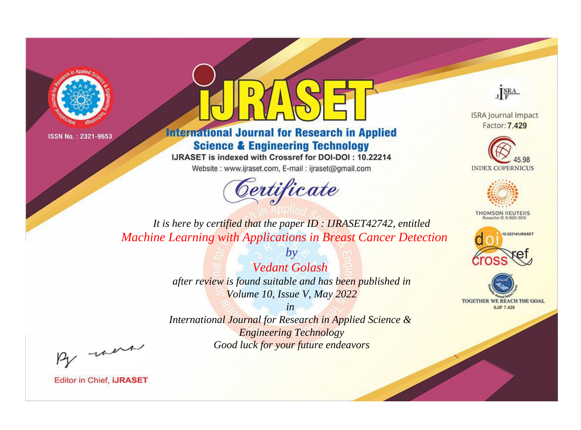



**International Journal for Research in Applied Science & Engineering Technology** 

IJRASET is indexed with Crossref for DOI-DOI: 10.22214

Website: www.ijraset.com, E-mail: ijraset@gmail.com



JERA

**ISRA Journal Impact** Factor: 7.429





**THOMSON REUTERS** 



TOGETHER WE REACH THE GOAL **SJIF 7.429** 

*It is here by certified that the paper ID : IJRASET42742, entitled Machine Learning with Applications in Breast Cancer Detection*

> *Vedant Golash after review is found suitable and has been published in Volume 10, Issue V, May 2022*

*by*

*in* 

*International Journal for Research in Applied Science & Engineering Technology Good luck for your future endeavors*

By morn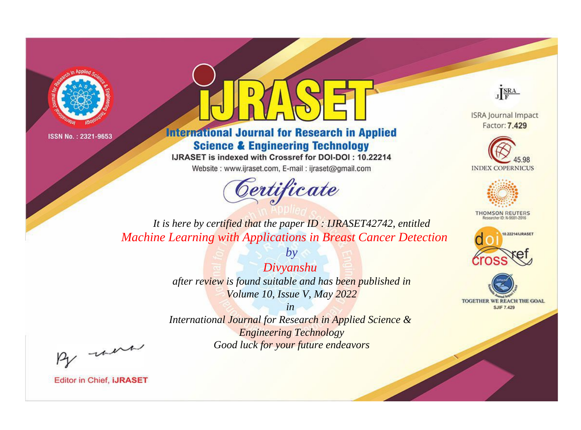



**International Journal for Research in Applied Science & Engineering Technology** 

IJRASET is indexed with Crossref for DOI-DOI: 10.22214

Website: www.ijraset.com, E-mail: ijraset@gmail.com



JERA

**ISRA Journal Impact** Factor: 7.429





**THOMSON REUTERS** 



TOGETHER WE REACH THE GOAL **SJIF 7.429** 

*It is here by certified that the paper ID : IJRASET42742, entitled Machine Learning with Applications in Breast Cancer Detection*

> *Divyanshu after review is found suitable and has been published in Volume 10, Issue V, May 2022*

*by*

*in* 

*International Journal for Research in Applied Science & Engineering Technology Good luck for your future endeavors*

By morn